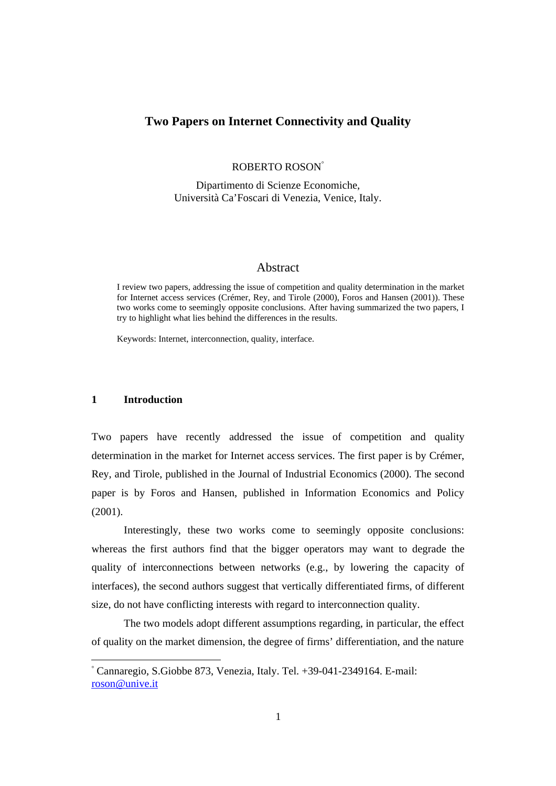## **Two Papers on Internet Connectivity and Quality**

ROBERTO ROSON°

Dipartimento di Scienze Economiche, Università Ca'Foscari di Venezia, Venice, Italy.

#### Abstract

I review two papers, addressing the issue of competition and quality determination in the market for Internet access services (Crémer, Rey, and Tirole (2000), Foros and Hansen (2001)). These two works come to seemingly opposite conclusions. After having summarized the two papers, I try to highlight what lies behind the differences in the results.

Keywords: Internet, interconnection, quality, interface.

#### **1 Introduction**

Two papers have recently addressed the issue of competition and quality determination in the market for Internet access services. The first paper is by Crémer, Rey, and Tirole, published in the Journal of Industrial Economics (2000). The second paper is by Foros and Hansen, published in Information Economics and Policy (2001).

Interestingly, these two works come to seemingly opposite conclusions: whereas the first authors find that the bigger operators may want to degrade the quality of interconnections between networks (e.g., by lowering the capacity of interfaces), the second authors suggest that vertically differentiated firms, of different size, do not have conflicting interests with regard to interconnection quality.

The two models adopt different assumptions regarding, in particular, the effect of quality on the market dimension, the degree of firms' differentiation, and the nature

<sup>°</sup> Cannaregio, S.Giobbe 873, Venezia, Italy. Tel. +39-041-2349164. E-mail: roson@unive.it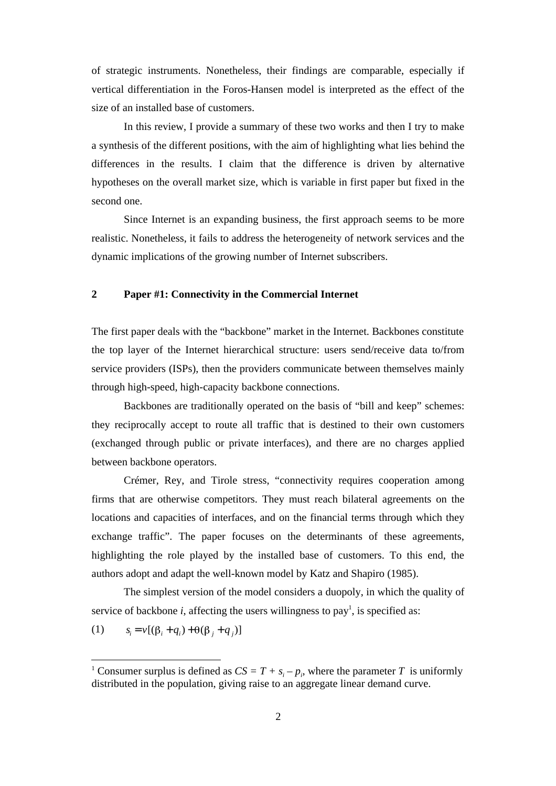of strategic instruments. Nonetheless, their findings are comparable, especially if vertical differentiation in the Foros-Hansen model is interpreted as the effect of the size of an installed base of customers.

In this review, I provide a summary of these two works and then I try to make a synthesis of the different positions, with the aim of highlighting what lies behind the differences in the results. I claim that the difference is driven by alternative hypotheses on the overall market size, which is variable in first paper but fixed in the second one.

Since Internet is an expanding business, the first approach seems to be more realistic. Nonetheless, it fails to address the heterogeneity of network services and the dynamic implications of the growing number of Internet subscribers.

#### **2 Paper #1: Connectivity in the Commercial Internet**

The first paper deals with the "backbone" market in the Internet. Backbones constitute the top layer of the Internet hierarchical structure: users send/receive data to/from service providers (ISPs), then the providers communicate between themselves mainly through high-speed, high-capacity backbone connections.

Backbones are traditionally operated on the basis of "bill and keep" schemes: they reciprocally accept to route all traffic that is destined to their own customers (exchanged through public or private interfaces), and there are no charges applied between backbone operators.

Crémer, Rey, and Tirole stress, "connectivity requires cooperation among firms that are otherwise competitors. They must reach bilateral agreements on the locations and capacities of interfaces, and on the financial terms through which they exchange traffic". The paper focuses on the determinants of these agreements, highlighting the role played by the installed base of customers. To this end, the authors adopt and adapt the well-known model by Katz and Shapiro (1985).

The simplest version of the model considers a duopoly, in which the quality of service of backbone  $i$ , affecting the users willingness to pay<sup>1</sup>, is specified as:

(1) 
$$
s_i = v[(\beta_i + q_i) + \theta(\beta_j + q_j)]
$$

<sup>&</sup>lt;sup>1</sup> Consumer surplus is defined as  $CS = T + s_i - p_i$ , where the parameter *T* is uniformly distributed in the population, giving raise to an aggregate linear demand curve.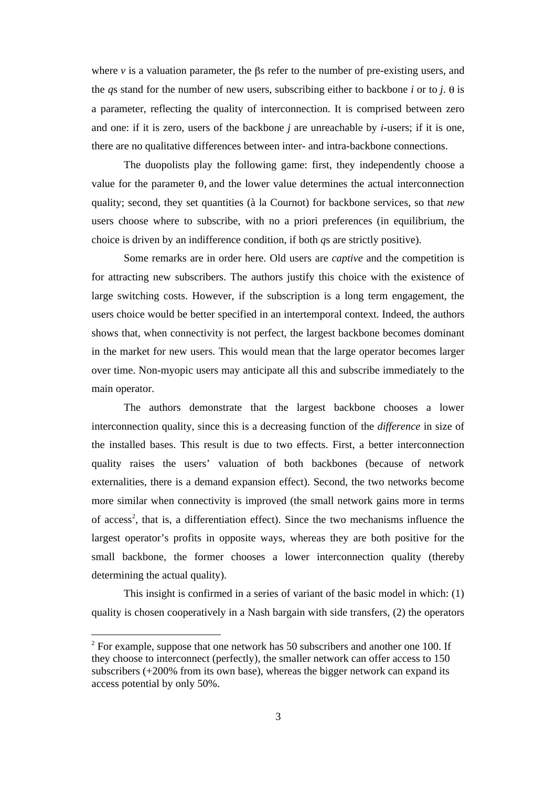where  $\nu$  is a valuation parameter, the  $\beta s$  refer to the number of pre-existing users, and the *qs* stand for the number of new users, subscribing either to backbone *i* or to *j*.  $\theta$  is a parameter, reflecting the quality of interconnection. It is comprised between zero and one: if it is zero, users of the backbone *j* are unreachable by *i*-users; if it is one, there are no qualitative differences between inter- and intra-backbone connections.

The duopolists play the following game: first, they independently choose a value for the parameter  $\theta$ , and the lower value determines the actual interconnection quality; second, they set quantities (à la Cournot) for backbone services, so that *new* users choose where to subscribe, with no a priori preferences (in equilibrium, the choice is driven by an indifference condition, if both *q*s are strictly positive).

Some remarks are in order here. Old users are *captive* and the competition is for attracting new subscribers. The authors justify this choice with the existence of large switching costs. However, if the subscription is a long term engagement, the users choice would be better specified in an intertemporal context. Indeed, the authors shows that, when connectivity is not perfect, the largest backbone becomes dominant in the market for new users. This would mean that the large operator becomes larger over time. Non-myopic users may anticipate all this and subscribe immediately to the main operator.

The authors demonstrate that the largest backbone chooses a lower interconnection quality, since this is a decreasing function of the *difference* in size of the installed bases. This result is due to two effects. First, a better interconnection quality raises the users' valuation of both backbones (because of network externalities, there is a demand expansion effect). Second, the two networks become more similar when connectivity is improved (the small network gains more in terms of access<sup>2</sup>, that is, a differentiation effect). Since the two mechanisms influence the largest operator's profits in opposite ways, whereas they are both positive for the small backbone, the former chooses a lower interconnection quality (thereby determining the actual quality).

This insight is confirmed in a series of variant of the basic model in which: (1) quality is chosen cooperatively in a Nash bargain with side transfers, (2) the operators

 $2^2$  For example, suppose that one network has 50 subscribers and another one 100. If they choose to interconnect (perfectly), the smaller network can offer access to 150 subscribers (+200% from its own base), whereas the bigger network can expand its access potential by only 50%.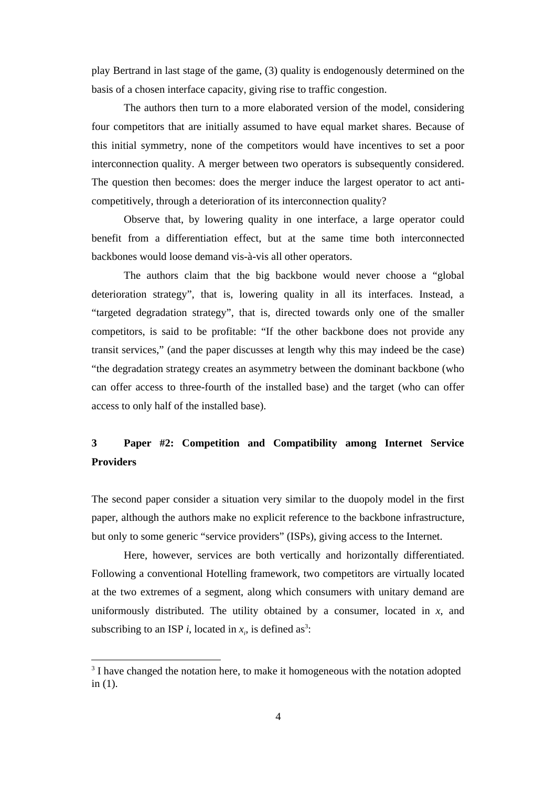play Bertrand in last stage of the game, (3) quality is endogenously determined on the basis of a chosen interface capacity, giving rise to traffic congestion.

The authors then turn to a more elaborated version of the model, considering four competitors that are initially assumed to have equal market shares. Because of this initial symmetry, none of the competitors would have incentives to set a poor interconnection quality. A merger between two operators is subsequently considered. The question then becomes: does the merger induce the largest operator to act anticompetitively, through a deterioration of its interconnection quality?

Observe that, by lowering quality in one interface, a large operator could benefit from a differentiation effect, but at the same time both interconnected backbones would loose demand vis-à-vis all other operators.

The authors claim that the big backbone would never choose a "global deterioration strategy", that is, lowering quality in all its interfaces. Instead, a "targeted degradation strategy", that is, directed towards only one of the smaller competitors, is said to be profitable: "If the other backbone does not provide any transit services," (and the paper discusses at length why this may indeed be the case) "the degradation strategy creates an asymmetry between the dominant backbone (who can offer access to three-fourth of the installed base) and the target (who can offer access to only half of the installed base).

# **3 Paper #2: Competition and Compatibility among Internet Service Providers**

The second paper consider a situation very similar to the duopoly model in the first paper, although the authors make no explicit reference to the backbone infrastructure, but only to some generic "service providers" (ISPs), giving access to the Internet.

Here, however, services are both vertically and horizontally differentiated. Following a conventional Hotelling framework, two competitors are virtually located at the two extremes of a segment, along which consumers with unitary demand are uniformously distributed. The utility obtained by a consumer, located in  $x$ , and subscribing to an ISP *i*, located in  $x_i$ , is defined as<sup>3</sup>:

<sup>&</sup>lt;sup>3</sup> I have changed the notation here, to make it homogeneous with the notation adopted in (1).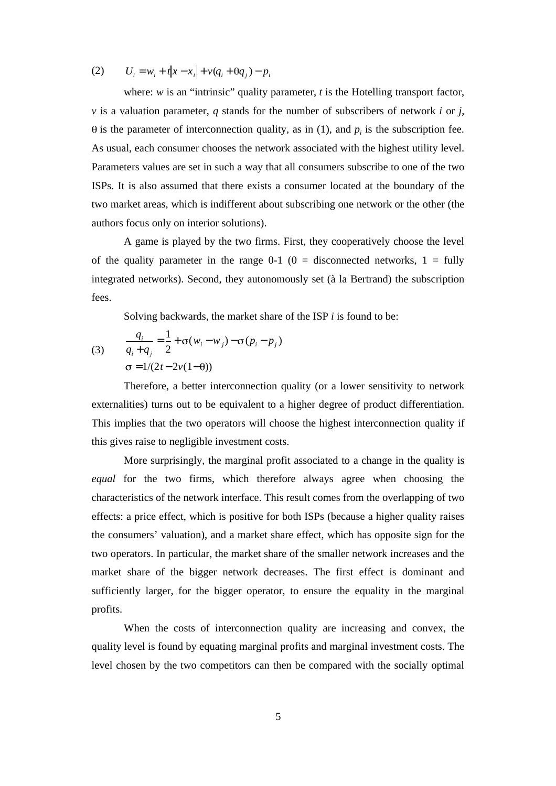(2)  $U_i = w_i + t|x - x_i| + v(q_i + \theta q_i) - p_i$ 

where: *w* is an "intrinsic" quality parameter, *t* is the Hotelling transport factor, *v* is a valuation parameter, *q* stands for the number of subscribers of network *i* or *j*, is the parameter of interconnection quality, as in  $(1)$ , and  $p_i$  is the subscription fee. As usual, each consumer chooses the network associated with the highest utility level. Parameters values are set in such a way that all consumers subscribe to one of the two ISPs. It is also assumed that there exists a consumer located at the boundary of the two market areas, which is indifferent about subscribing one network or the other (the authors focus only on interior solutions).

A game is played by the two firms. First, they cooperatively choose the level of the quality parameter in the range  $0-1$  ( $0 =$  disconnected networks,  $1 =$  fully integrated networks). Second, they autonomously set (à la Bertrand) the subscription fees.

Solving backwards, the market share of the ISP *i* is found to be:

(3) 
$$
\frac{q_i}{q_i + q_j} = \frac{1}{2} + \sigma(w_i - w_j) - \sigma(p_i - p_j)
$$

$$
\sigma = 1/(2t - 2v(1 - \theta))
$$

Therefore, a better interconnection quality (or a lower sensitivity to network externalities) turns out to be equivalent to a higher degree of product differentiation. This implies that the two operators will choose the highest interconnection quality if this gives raise to negligible investment costs.

More surprisingly, the marginal profit associated to a change in the quality is *equal* for the two firms, which therefore always agree when choosing the characteristics of the network interface. This result comes from the overlapping of two effects: a price effect, which is positive for both ISPs (because a higher quality raises the consumers' valuation), and a market share effect, which has opposite sign for the two operators. In particular, the market share of the smaller network increases and the market share of the bigger network decreases. The first effect is dominant and sufficiently larger, for the bigger operator, to ensure the equality in the marginal profits.

When the costs of interconnection quality are increasing and convex, the quality level is found by equating marginal profits and marginal investment costs. The level chosen by the two competitors can then be compared with the socially optimal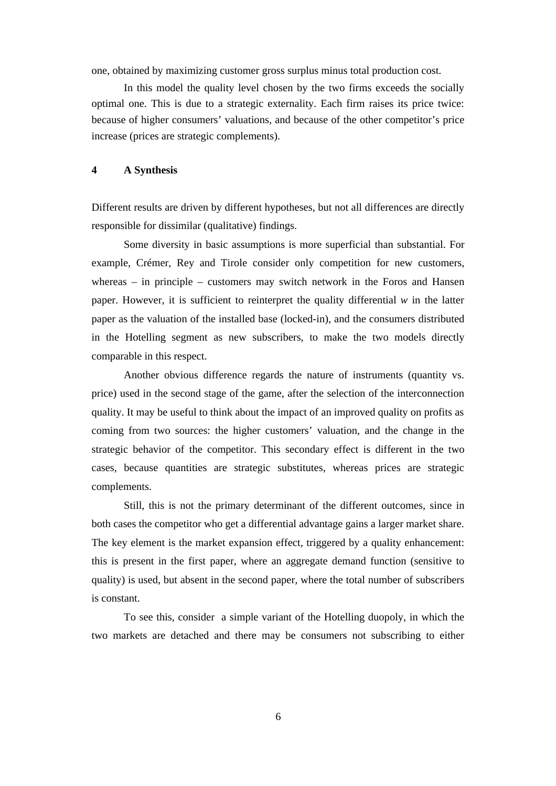one, obtained by maximizing customer gross surplus minus total production cost.

In this model the quality level chosen by the two firms exceeds the socially optimal one. This is due to a strategic externality. Each firm raises its price twice: because of higher consumers' valuations, and because of the other competitor's price increase (prices are strategic complements).

### **4 A Synthesis**

Different results are driven by different hypotheses, but not all differences are directly responsible for dissimilar (qualitative) findings.

Some diversity in basic assumptions is more superficial than substantial. For example, Crémer, Rey and Tirole consider only competition for new customers, whereas – in principle – customers may switch network in the Foros and Hansen paper. However, it is sufficient to reinterpret the quality differential  $w$  in the latter paper as the valuation of the installed base (locked-in), and the consumers distributed in the Hotelling segment as new subscribers, to make the two models directly comparable in this respect.

Another obvious difference regards the nature of instruments (quantity vs. price) used in the second stage of the game, after the selection of the interconnection quality. It may be useful to think about the impact of an improved quality on profits as coming from two sources: the higher customers' valuation, and the change in the strategic behavior of the competitor. This secondary effect is different in the two cases, because quantities are strategic substitutes, whereas prices are strategic complements.

Still, this is not the primary determinant of the different outcomes, since in both cases the competitor who get a differential advantage gains a larger market share. The key element is the market expansion effect, triggered by a quality enhancement: this is present in the first paper, where an aggregate demand function (sensitive to quality) is used, but absent in the second paper, where the total number of subscribers is constant.

To see this, consider a simple variant of the Hotelling duopoly, in which the two markets are detached and there may be consumers not subscribing to either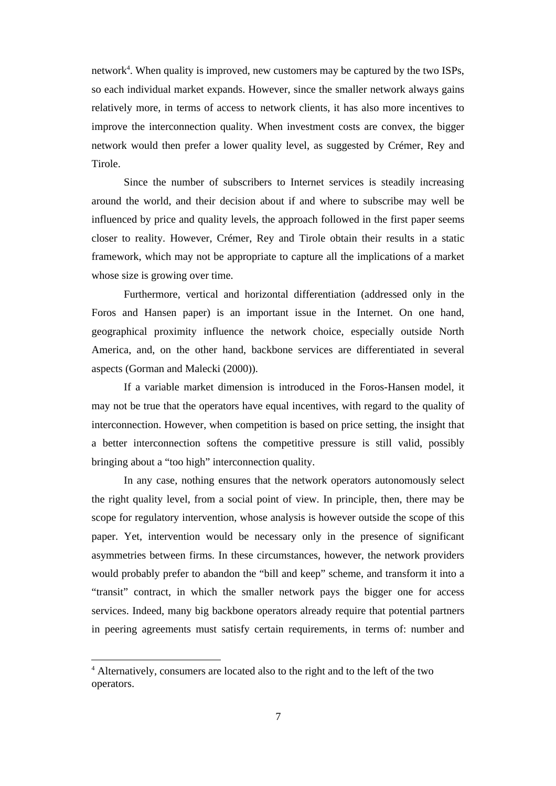network<sup>4</sup>. When quality is improved, new customers may be captured by the two ISPs, so each individual market expands. However, since the smaller network always gains relatively more, in terms of access to network clients, it has also more incentives to improve the interconnection quality. When investment costs are convex, the bigger network would then prefer a lower quality level, as suggested by Crémer, Rey and Tirole.

Since the number of subscribers to Internet services is steadily increasing around the world, and their decision about if and where to subscribe may well be influenced by price and quality levels, the approach followed in the first paper seems closer to reality. However, Crémer, Rey and Tirole obtain their results in a static framework, which may not be appropriate to capture all the implications of a market whose size is growing over time.

Furthermore, vertical and horizontal differentiation (addressed only in the Foros and Hansen paper) is an important issue in the Internet. On one hand, geographical proximity influence the network choice, especially outside North America, and, on the other hand, backbone services are differentiated in several aspects (Gorman and Malecki (2000)).

If a variable market dimension is introduced in the Foros-Hansen model, it may not be true that the operators have equal incentives, with regard to the quality of interconnection. However, when competition is based on price setting, the insight that a better interconnection softens the competitive pressure is still valid, possibly bringing about a "too high" interconnection quality.

In any case, nothing ensures that the network operators autonomously select the right quality level, from a social point of view. In principle, then, there may be scope for regulatory intervention, whose analysis is however outside the scope of this paper. Yet, intervention would be necessary only in the presence of significant asymmetries between firms. In these circumstances, however, the network providers would probably prefer to abandon the "bill and keep" scheme, and transform it into a "transit" contract, in which the smaller network pays the bigger one for access services. Indeed, many big backbone operators already require that potential partners in peering agreements must satisfy certain requirements, in terms of: number and

<sup>&</sup>lt;sup>4</sup> Alternatively, consumers are located also to the right and to the left of the two operators.